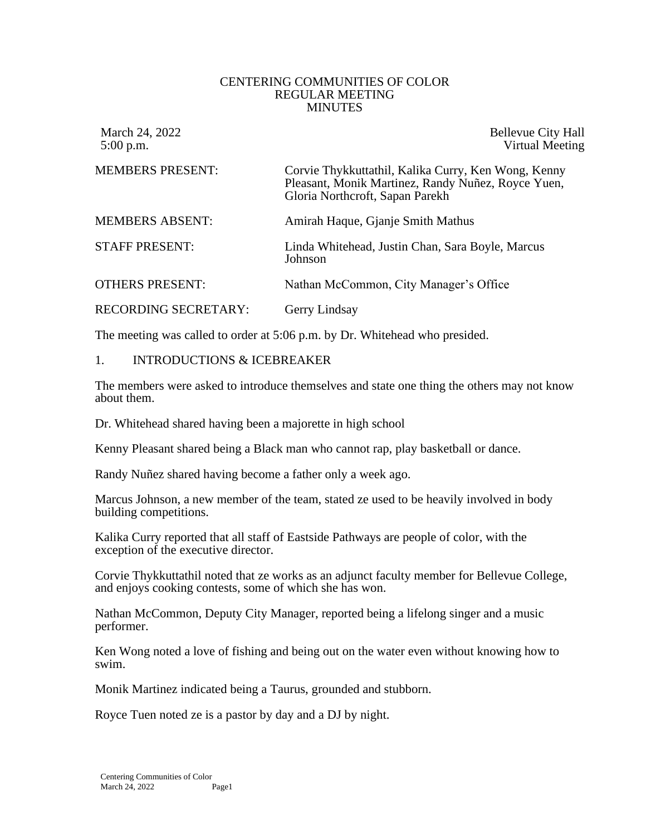## CENTERING COMMUNITIES OF COLOR REGULAR MEETING MINUTES

March 24, 2022 Bellevue City Hall 5:00 p.m. Virtual Meeting

| <b>MEMBERS PRESENT:</b>     | Corvie Thykkuttathil, Kalika Curry, Ken Wong, Kenny<br>Pleasant, Monik Martinez, Randy Nuñez, Royce Yuen,<br>Gloria Northcroft, Sapan Parekh |
|-----------------------------|----------------------------------------------------------------------------------------------------------------------------------------------|
| <b>MEMBERS ABSENT:</b>      | Amirah Haque, Gjanje Smith Mathus                                                                                                            |
| <b>STAFF PRESENT:</b>       | Linda Whitehead, Justin Chan, Sara Boyle, Marcus<br>Johnson                                                                                  |
| <b>OTHERS PRESENT:</b>      | Nathan McCommon, City Manager's Office                                                                                                       |
| <b>RECORDING SECRETARY:</b> | Gerry Lindsay                                                                                                                                |

The meeting was called to order at 5:06 p.m. by Dr. Whitehead who presided.

## 1. INTRODUCTIONS & ICEBREAKER

The members were asked to introduce themselves and state one thing the others may not know about them.

Dr. Whitehead shared having been a majorette in high school

Kenny Pleasant shared being a Black man who cannot rap, play basketball or dance.

Randy Nuñez shared having become a father only a week ago.

Marcus Johnson, a new member of the team, stated ze used to be heavily involved in body building competitions.

Kalika Curry reported that all staff of Eastside Pathways are people of color, with the exception of the executive director.

Corvie Thykkuttathil noted that ze works as an adjunct faculty member for Bellevue College, and enjoys cooking contests, some of which she has won.

Nathan McCommon, Deputy City Manager, reported being a lifelong singer and a music performer.

Ken Wong noted a love of fishing and being out on the water even without knowing how to swim.

Monik Martinez indicated being a Taurus, grounded and stubborn.

Royce Tuen noted ze is a pastor by day and a DJ by night.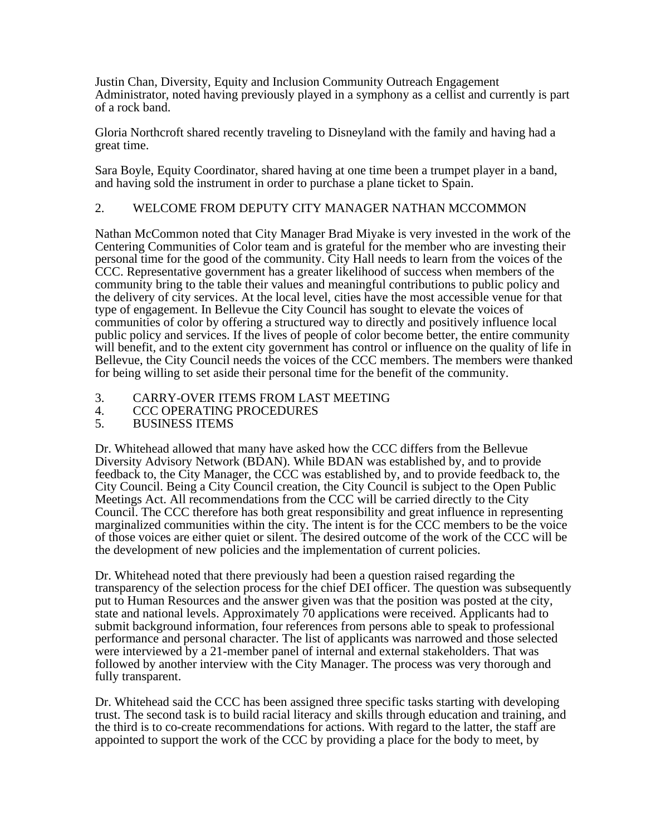Justin Chan, Diversity, Equity and Inclusion Community Outreach Engagement Administrator, noted having previously played in a symphony as a cellist and currently is part of a rock band.

Gloria Northcroft shared recently traveling to Disneyland with the family and having had a great time.

Sara Boyle, Equity Coordinator, shared having at one time been a trumpet player in a band, and having sold the instrument in order to purchase a plane ticket to Spain.

## 2. WELCOME FROM DEPUTY CITY MANAGER NATHAN MCCOMMON

Nathan McCommon noted that City Manager Brad Miyake is very invested in the work of the Centering Communities of Color team and is grateful for the member who are investing their personal time for the good of the community. City Hall needs to learn from the voices of the CCC. Representative government has a greater likelihood of success when members of the community bring to the table their values and meaningful contributions to public policy and the delivery of city services. At the local level, cities have the most accessible venue for that type of engagement. In Bellevue the City Council has sought to elevate the voices of communities of color by offering a structured way to directly and positively influence local public policy and services. If the lives of people of color become better, the entire community will benefit, and to the extent city government has control or influence on the quality of life in Bellevue, the City Council needs the voices of the CCC members. The members were thanked for being willing to set aside their personal time for the benefit of the community.

- 3. CARRY-OVER ITEMS FROM LAST MEETING
- 4. CCC OPERATING PROCEDURES
- 5. BUSINESS ITEMS

Dr. Whitehead allowed that many have asked how the CCC differs from the Bellevue Diversity Advisory Network (BDAN). While BDAN was established by, and to provide feedback to, the City Manager, the CCC was established by, and to provide feedback to, the City Council. Being a City Council creation, the City Council is subject to the Open Public Meetings Act. All recommendations from the CCC will be carried directly to the City Council. The CCC therefore has both great responsibility and great influence in representing marginalized communities within the city. The intent is for the CCC members to be the voice of those voices are either quiet or silent. The desired outcome of the work of the CCC will be the development of new policies and the implementation of current policies.

Dr. Whitehead noted that there previously had been a question raised regarding the transparency of the selection process for the chief DEI officer. The question was subsequently put to Human Resources and the answer given was that the position was posted at the city, state and national levels. Approximately 70 applications were received. Applicants had to submit background information, four references from persons able to speak to professional performance and personal character. The list of applicants was narrowed and those selected were interviewed by a 21-member panel of internal and external stakeholders. That was followed by another interview with the City Manager. The process was very thorough and fully transparent.

Dr. Whitehead said the CCC has been assigned three specific tasks starting with developing trust. The second task is to build racial literacy and skills through education and training, and the third is to co-create recommendations for actions. With regard to the latter, the staff are appointed to support the work of the CCC by providing a place for the body to meet, by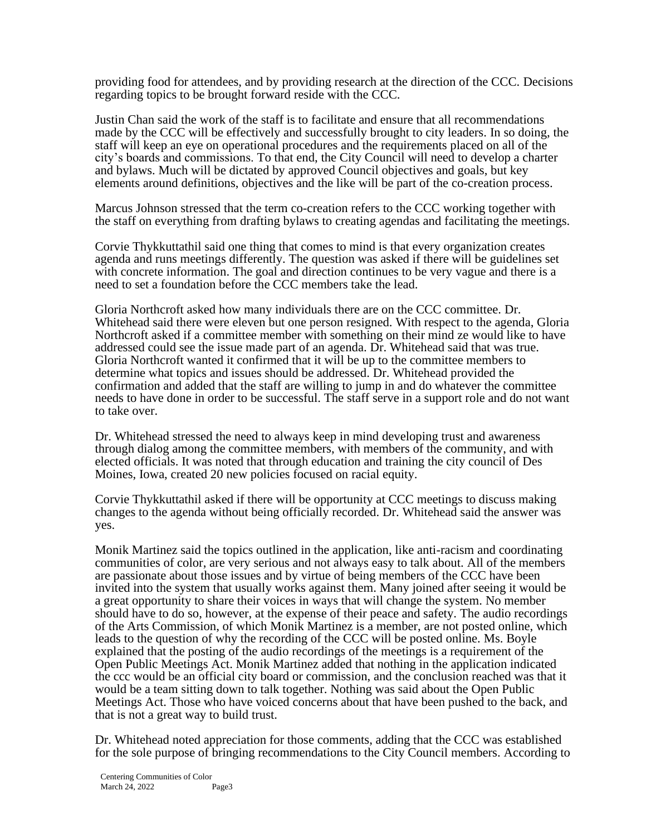providing food for attendees, and by providing research at the direction of the CCC. Decisions regarding topics to be brought forward reside with the CCC.

Justin Chan said the work of the staff is to facilitate and ensure that all recommendations made by the CCC will be effectively and successfully brought to city leaders. In so doing, the staff will keep an eye on operational procedures and the requirements placed on all of the city's boards and commissions. To that end, the City Council will need to develop a charter and bylaws. Much will be dictated by approved Council objectives and goals, but key elements around definitions, objectives and the like will be part of the co-creation process.

Marcus Johnson stressed that the term co-creation refers to the CCC working together with the staff on everything from drafting bylaws to creating agendas and facilitating the meetings.

Corvie Thykkuttathil said one thing that comes to mind is that every organization creates agenda and runs meetings differently. The question was asked if there will be guidelines set with concrete information. The goal and direction continues to be very vague and there is a need to set a foundation before the CCC members take the lead.

Gloria Northcroft asked how many individuals there are on the CCC committee. Dr. Whitehead said there were eleven but one person resigned. With respect to the agenda, Gloria Northcroft asked if a committee member with something on their mind ze would like to have addressed could see the issue made part of an agenda. Dr. Whitehead said that was true. Gloria Northcroft wanted it confirmed that it will be up to the committee members to determine what topics and issues should be addressed. Dr. Whitehead provided the confirmation and added that the staff are willing to jump in and do whatever the committee needs to have done in order to be successful. The staff serve in a support role and do not want to take over.

Dr. Whitehead stressed the need to always keep in mind developing trust and awareness through dialog among the committee members, with members of the community, and with elected officials. It was noted that through education and training the city council of Des Moines, Iowa, created 20 new policies focused on racial equity.

Corvie Thykkuttathil asked if there will be opportunity at CCC meetings to discuss making changes to the agenda without being officially recorded. Dr. Whitehead said the answer was yes.

Monik Martinez said the topics outlined in the application, like anti-racism and coordinating communities of color, are very serious and not always easy to talk about. All of the members are passionate about those issues and by virtue of being members of the CCC have been invited into the system that usually works against them. Many joined after seeing it would be a great opportunity to share their voices in ways that will change the system. No member should have to do so, however, at the expense of their peace and safety. The audio recordings of the Arts Commission, of which Monik Martinez is a member, are not posted online, which leads to the question of why the recording of the CCC will be posted online. Ms. Boyle explained that the posting of the audio recordings of the meetings is a requirement of the Open Public Meetings Act. Monik Martinez added that nothing in the application indicated the ccc would be an official city board or commission, and the conclusion reached was that it would be a team sitting down to talk together. Nothing was said about the Open Public Meetings Act. Those who have voiced concerns about that have been pushed to the back, and that is not a great way to build trust.

Dr. Whitehead noted appreciation for those comments, adding that the CCC was established for the sole purpose of bringing recommendations to the City Council members. According to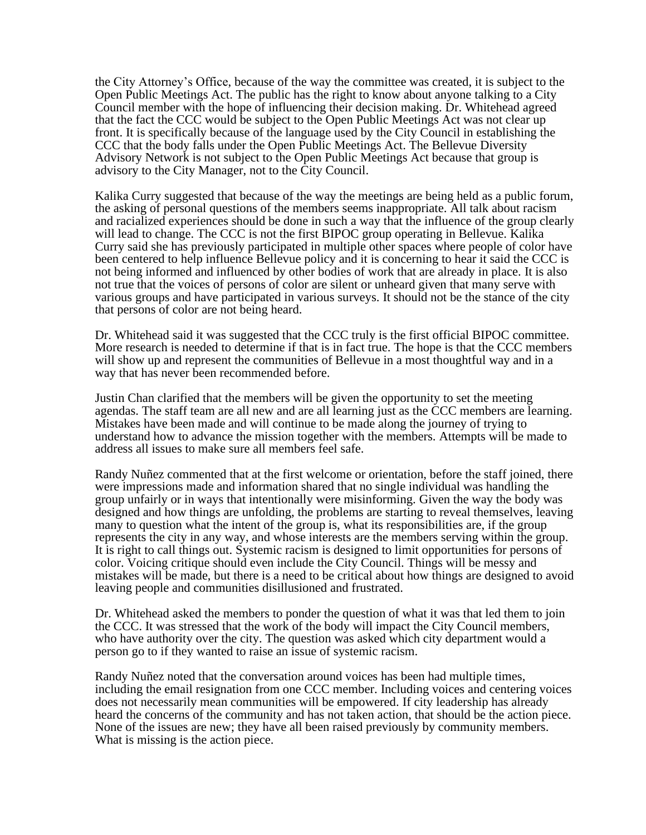the City Attorney's Office, because of the way the committee was created, it is subject to the Open Public Meetings Act. The public has the right to know about anyone talking to a City Council member with the hope of influencing their decision making. Dr. Whitehead agreed that the fact the CCC would be subject to the Open Public Meetings Act was not clear up front. It is specifically because of the language used by the City Council in establishing the CCC that the body falls under the Open Public Meetings Act. The Bellevue Diversity Advisory Network is not subject to the Open Public Meetings Act because that group is advisory to the City Manager, not to the City Council.

Kalika Curry suggested that because of the way the meetings are being held as a public forum, the asking of personal questions of the members seems inappropriate. All talk about racism and racialized experiences should be done in such a way that the influence of the group clearly will lead to change. The CCC is not the first BIPOC group operating in Bellevue. Kalika Curry said she has previously participated in multiple other spaces where people of color have been centered to help influence Bellevue policy and it is concerning to hear it said the CCC is not being informed and influenced by other bodies of work that are already in place. It is also not true that the voices of persons of color are silent or unheard given that many serve with various groups and have participated in various surveys. It should not be the stance of the city that persons of color are not being heard.

Dr. Whitehead said it was suggested that the CCC truly is the first official BIPOC committee. More research is needed to determine if that is in fact true. The hope is that the CCC members will show up and represent the communities of Bellevue in a most thoughtful way and in a way that has never been recommended before.

Justin Chan clarified that the members will be given the opportunity to set the meeting agendas. The staff team are all new and are all learning just as the CCC members are learning. Mistakes have been made and will continue to be made along the journey of trying to understand how to advance the mission together with the members. Attempts will be made to address all issues to make sure all members feel safe.

Randy Nuñez commented that at the first welcome or orientation, before the staff joined, there were impressions made and information shared that no single individual was handling the group unfairly or in ways that intentionally were misinforming. Given the way the body was designed and how things are unfolding, the problems are starting to reveal themselves, leaving many to question what the intent of the group is, what its responsibilities are, if the group represents the city in any way, and whose interests are the members serving within the group. It is right to call things out. Systemic racism is designed to limit opportunities for persons of color. Voicing critique should even include the City Council. Things will be messy and mistakes will be made, but there is a need to be critical about how things are designed to avoid leaving people and communities disillusioned and frustrated.

Dr. Whitehead asked the members to ponder the question of what it was that led them to join the CCC. It was stressed that the work of the body will impact the City Council members, who have authority over the city. The question was asked which city department would a person go to if they wanted to raise an issue of systemic racism.

Randy Nuñez noted that the conversation around voices has been had multiple times, including the email resignation from one CCC member. Including voices and centering voices does not necessarily mean communities will be empowered. If city leadership has already heard the concerns of the community and has not taken action, that should be the action piece. None of the issues are new; they have all been raised previously by community members. What is missing is the action piece.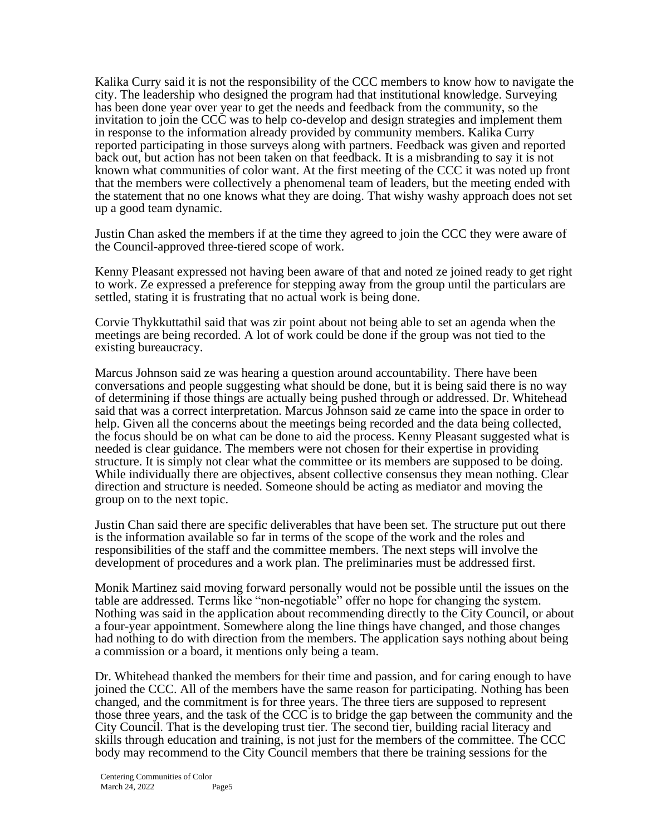Kalika Curry said it is not the responsibility of the CCC members to know how to navigate the city. The leadership who designed the program had that institutional knowledge. Surveying has been done year over year to get the needs and feedback from the community, so the invitation to join the CCC was to help co-develop and design strategies and implement them in response to the information already provided by community members. Kalika Curry reported participating in those surveys along with partners. Feedback was given and reported back out, but action has not been taken on that feedback. It is a misbranding to say it is not known what communities of color want. At the first meeting of the CCC it was noted up front that the members were collectively a phenomenal team of leaders, but the meeting ended with the statement that no one knows what they are doing. That wishy washy approach does not set up a good team dynamic.

Justin Chan asked the members if at the time they agreed to join the CCC they were aware of the Council-approved three-tiered scope of work.

Kenny Pleasant expressed not having been aware of that and noted ze joined ready to get right to work. Ze expressed a preference for stepping away from the group until the particulars are settled, stating it is frustrating that no actual work is being done.

Corvie Thykkuttathil said that was zir point about not being able to set an agenda when the meetings are being recorded. A lot of work could be done if the group was not tied to the existing bureaucracy.

Marcus Johnson said ze was hearing a question around accountability. There have been conversations and people suggesting what should be done, but it is being said there is no way of determining if those things are actually being pushed through or addressed. Dr. Whitehead said that was a correct interpretation. Marcus Johnson said ze came into the space in order to help. Given all the concerns about the meetings being recorded and the data being collected, the focus should be on what can be done to aid the process. Kenny Pleasant suggested what is needed is clear guidance. The members were not chosen for their expertise in providing structure. It is simply not clear what the committee or its members are supposed to be doing. While individually there are objectives, absent collective consensus they mean nothing. Clear direction and structure is needed. Someone should be acting as mediator and moving the group on to the next topic.

Justin Chan said there are specific deliverables that have been set. The structure put out there is the information available so far in terms of the scope of the work and the roles and responsibilities of the staff and the committee members. The next steps will involve the development of procedures and a work plan. The preliminaries must be addressed first.

Monik Martinez said moving forward personally would not be possible until the issues on the table are addressed. Terms like "non-negotiable" offer no hope for changing the system. Nothing was said in the application about recommending directly to the City Council, or about a four-year appointment. Somewhere along the line things have changed, and those changes had nothing to do with direction from the members. The application says nothing about being a commission or a board, it mentions only being a team.

Dr. Whitehead thanked the members for their time and passion, and for caring enough to have joined the CCC. All of the members have the same reason for participating. Nothing has been changed, and the commitment is for three years. The three tiers are supposed to represent those three years, and the task of the CCC is to bridge the gap between the community and the City Council. That is the developing trust tier. The second tier, building racial literacy and skills through education and training, is not just for the members of the committee. The CCC body may recommend to the City Council members that there be training sessions for the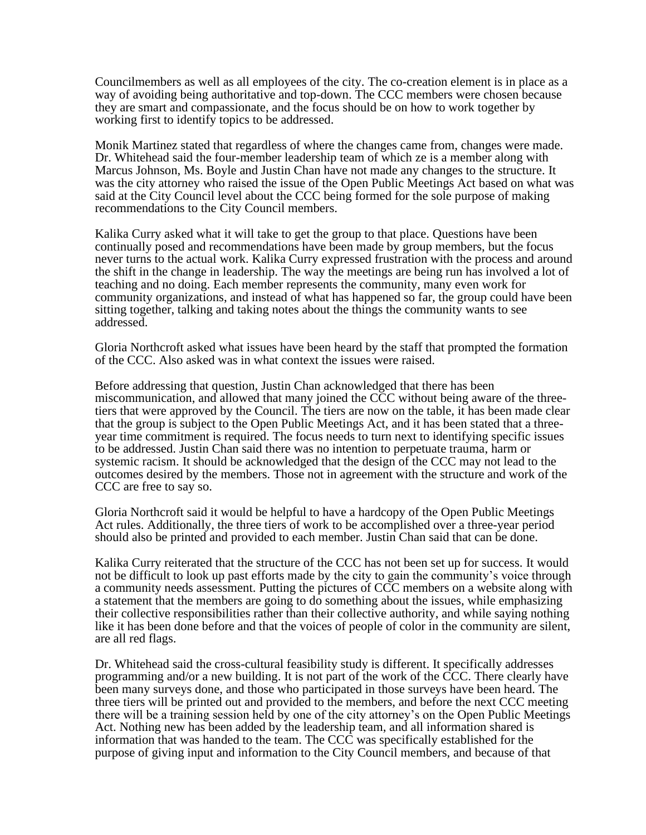Councilmembers as well as all employees of the city. The co-creation element is in place as a way of avoiding being authoritative and top-down. The CCC members were chosen because they are smart and compassionate, and the focus should be on how to work together by working first to identify topics to be addressed.

Monik Martinez stated that regardless of where the changes came from, changes were made. Dr. Whitehead said the four-member leadership team of which ze is a member along with Marcus Johnson, Ms. Boyle and Justin Chan have not made any changes to the structure. It was the city attorney who raised the issue of the Open Public Meetings Act based on what was said at the City Council level about the CCC being formed for the sole purpose of making recommendations to the City Council members.

Kalika Curry asked what it will take to get the group to that place. Questions have been continually posed and recommendations have been made by group members, but the focus never turns to the actual work. Kalika Curry expressed frustration with the process and around the shift in the change in leadership. The way the meetings are being run has involved a lot of teaching and no doing. Each member represents the community, many even work for community organizations, and instead of what has happened so far, the group could have been sitting together, talking and taking notes about the things the community wants to see addressed.

Gloria Northcroft asked what issues have been heard by the staff that prompted the formation of the CCC. Also asked was in what context the issues were raised.

Before addressing that question, Justin Chan acknowledged that there has been miscommunication, and allowed that many joined the CCC without being aware of the threetiers that were approved by the Council. The tiers are now on the table, it has been made clear that the group is subject to the Open Public Meetings Act, and it has been stated that a threeyear time commitment is required. The focus needs to turn next to identifying specific issues to be addressed. Justin Chan said there was no intention to perpetuate trauma, harm or systemic racism. It should be acknowledged that the design of the CCC may not lead to the outcomes desired by the members. Those not in agreement with the structure and work of the CCC are free to say so.

Gloria Northcroft said it would be helpful to have a hardcopy of the Open Public Meetings Act rules. Additionally, the three tiers of work to be accomplished over a three-year period should also be printed and provided to each member. Justin Chan said that can be done.

Kalika Curry reiterated that the structure of the CCC has not been set up for success. It would not be difficult to look up past efforts made by the city to gain the community's voice through a community needs assessment. Putting the pictures of CCC members on a website along with a statement that the members are going to do something about the issues, while emphasizing their collective responsibilities rather than their collective authority, and while saying nothing like it has been done before and that the voices of people of color in the community are silent, are all red flags.

Dr. Whitehead said the cross-cultural feasibility study is different. It specifically addresses programming and/or a new building. It is not part of the work of the CCC. There clearly have been many surveys done, and those who participated in those surveys have been heard. The three tiers will be printed out and provided to the members, and before the next CCC meeting there will be a training session held by one of the city attorney's on the Open Public Meetings Act. Nothing new has been added by the leadership team, and all information shared is information that was handed to the team. The CCC was specifically established for the purpose of giving input and information to the City Council members, and because of that